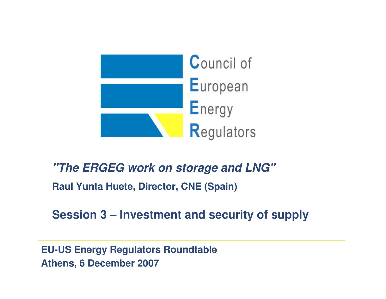

# **"The ERGEG work on storage and LNG"Raul Yunta Huete, Director, CNE (Spain)**

# **Session 3 – Investment and security of supply**

**EU-US Energy Regulators Roundtable Athens, 6 December 2007**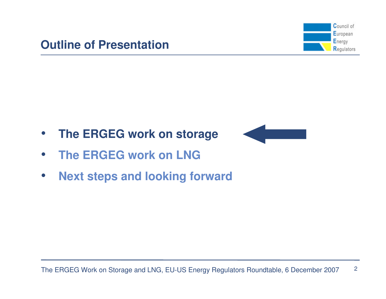![](_page_1_Figure_1.jpeg)

- $\bullet$ **The ERGEG work on storage**
- $\bullet$ **The ERGEG work on LNG**
- $\bullet$ **Next steps and looking forward**

![](_page_1_Figure_5.jpeg)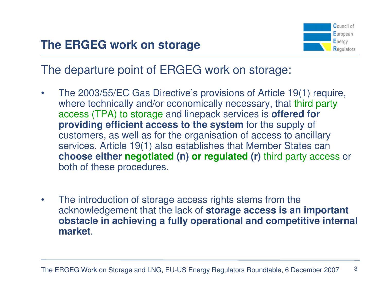![](_page_2_Picture_1.jpeg)

The departure point of ERGEG work on storage:

- $\bullet$  The 2003/55/EC Gas Directive's provisions of Article 19(1) require, where technically and/or economically necessary, that third party access (TPA) to storage and linepack services is **offered for providing efficient access to the system** for the supply of customers, as well as for the organisation of access to ancillary services. Article 19(1) also establishes that Member States can **choose either negotiated (n) or regulated (r)** third party access or both of these procedures.
- • The introduction of storage access rights stems from the acknowledgement that the lack of **storage access is an important obstacle in achieving a fully operational and competitive internal market**.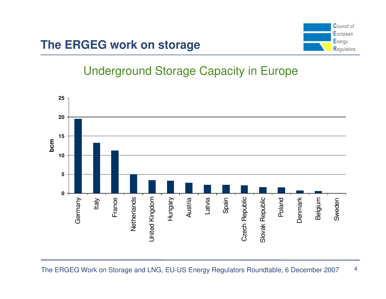# **The ERGEG work on storage**

![](_page_3_Picture_1.jpeg)

# Underground Storage Capacity in Europe

![](_page_3_Figure_3.jpeg)

The ERGEG Work on Storage and LNG, EU-US Energy Regulators Roundtable, 6 December 20074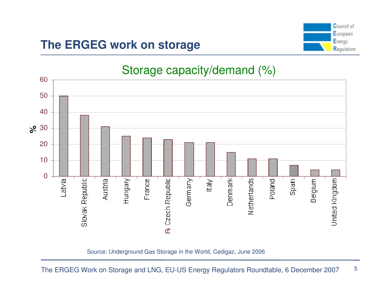# **The ERGEG work on storage**

![](_page_4_Figure_1.jpeg)

![](_page_4_Figure_2.jpeg)

Source: Underground Gas Storage in the World, Cedigaz, June 2006

The ERGEG Work on Storage and LNG, EU-US Energy Regulators Roundtable, 6 December 2007

5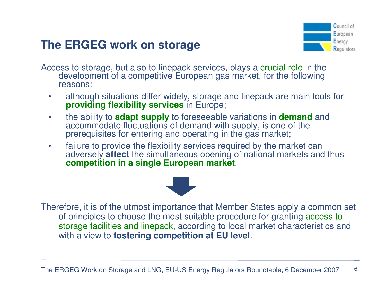# **The ERGEG work on storage**

![](_page_5_Picture_1.jpeg)

Access to storage, but also to linepack services, plays a crucial role in the development of a competitive European assembly for the following development of a competitive European gas market, for the following reasons:

- • although situations differ widely, storage and linepack are main tools for **providing flexibility services** in Europe;
- $\bullet$  the ability to **adapt supply** to foreseeable variations in **demand** and accommodate fluctuations of demand with supply, is one of the prerequisites for entering and operating in the gas market;
- $\bullet$  failure to provide the flexibility services required by the market can adversely **affect** the simultaneous opening of national markets and thus **competition in a single European market**.

![](_page_5_Picture_6.jpeg)

Therefore, it is of the utmost importance that Member States apply a common set of principles to choose the most suitable procedure for granting access to storage facilities and linepack, according to local market characteristics and with a view to **fostering competition at EU level**.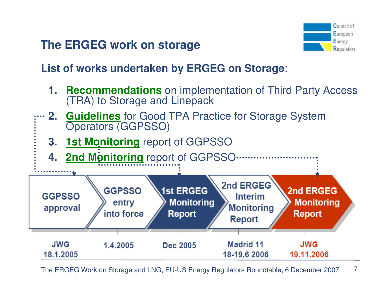![](_page_6_Figure_1.jpeg)

7

**List of works undertaken by ERGEG on Storage**:

- **1. Recommendations** on implementation of Third Party Access (TRA) to Storage and Linepack
- **2.Guidelines** for Good TPA Practice for Storage System Operators (GGPSSO)
	- **3. 1st Monitoring** report of GGPSSO

![](_page_6_Figure_6.jpeg)

The ERGEG Work on Storage and LNG, EU-US Energy Regulators Roundtable, 6 December 2007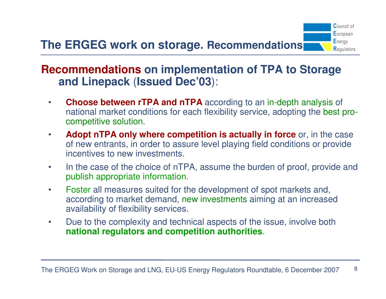### **Recommendations on implementation of TPA to Storage and Linepack**(**Issued Dec'03**):

 $\bullet$ **Choose between rTPA and nTPA** according to an in-depth analysis of<br> **Choose between rTPA and nTPA** according to an in-depth analysis of national market conditions for each flexibility service, adopting the best procompetitive solution.

**Council of** European Energy **Regulators** 

- $\bullet$ **Adopt nTPA only where competition is actually in force** or, in the case of new entrants, in order to assure level playing field conditions or provide incentives to new investments.
- • In the case of the choice of nTPA, assume the burden of proof, provide and publish appropriate information.
- • Foster all measures suited for the development of spot markets and, according to market demand, new investments aiming at an increased availability of flexibility services.
- $\bullet$  Due to the complexity and technical aspects of the issue, involve both **national regulators and competition authorities**.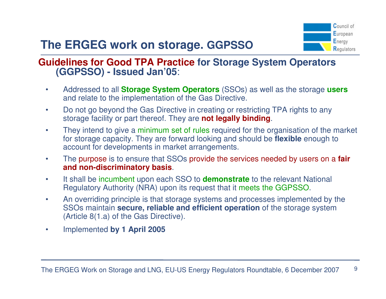# **The ERGEG work on storage. GGPSSO**

![](_page_8_Picture_1.jpeg)

# **Guidelines for Good TPA Practice for Storage System Operators (GGPSSO) - Issued Jan'05**:

- • Addressed to all **Storage System Operators** (SSOs) as well as the storage **users** and relate to the implementation of the Gas Directive.
- • Do not go beyond the Gas Directive in creating or restricting TPA rights to any storage facility or part thereof. They are **not legally binding**.
- •They intend to give a minimum set of rules required for the organisation of the market for storage capacity. They are forward looking and should be **flexible** enough to account for developments in market arrangements.
- • The purpose is to ensure that SSOs provide the services needed by users on a **fair and non-discriminatory basis**.
- • It shall be incumbent upon each SSO to **demonstrate** to the relevant National Regulatory Authority (NRA) upon its request that it meets the GGPSSO.
- • An overriding principle is that storage systems and processes implemented by the SSOs maintain **secure, reliable and efficient operation** of the storage system (Article 8(1.a) of the Gas Directive).
- $\bullet$ Implemented **by 1 April 2005**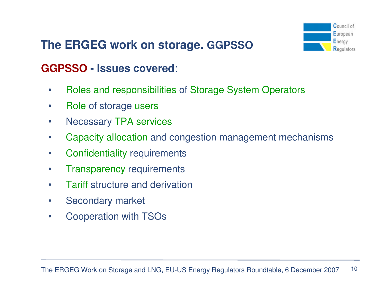# **The ERGEG work on storage. GGPSSO**

![](_page_9_Figure_1.jpeg)

# **GGPSSO - Issues covered**:

- $\bullet$ • Roles and responsibilities of Storage System Operators
- $\bullet$ • Role of storage users
- •Necessary TPA services
- •Capacity allocation and congestion management mechanisms
- $\bullet$ Confidentiality requirements
- $\bullet$ • Transparency requirements
- $\bullet$ Tariff structure and derivation
- •Secondary market
- •Cooperation with TSOs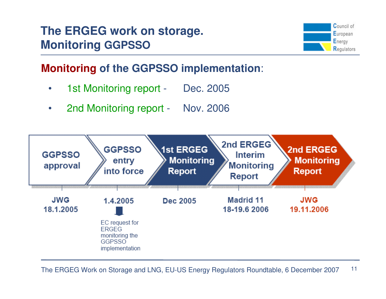![](_page_10_Figure_1.jpeg)

# **Monitoring of the GGPSSO implementation**:

- $\bullet$ 1st Monitoring report - Dec. 2005
- $\bullet$ 2nd Monitoring report - Nov. 2006

![](_page_10_Figure_5.jpeg)

The ERGEG Work on Storage and LNG, EU-US Energy Regulators Roundtable, 6 December 2007 11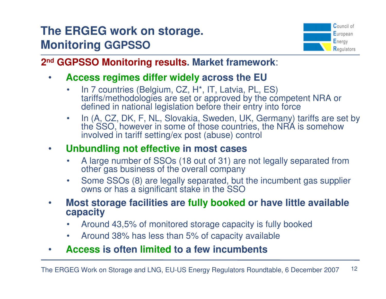![](_page_11_Picture_1.jpeg)

**2nd GGPSSO Monitoring results. Market framework**:

- $\bullet$  **Access regimes differ widely across the EU**
	- In 7 countries (Belgium, CZ, H\*, IT, Latvia, PL, ES) •tariffs/methodologies are set or approved by the competent NRA or defined in national legislation before their entry into force
	- In (A, CZ, DK, F, NL, Slovakia, Sweden, UK, Germany) tariffs are set by •the SSO, however in some of those countries, the NRA is somehow involved in tariff setting/ex post (abuse) control

#### $\bullet$ **Unbundling not effective in most cases**

- • A large number of SSOs (18 out of 31) are not legally separated from other gas business of the overall company
- Some SSOs (8) are legally separated, but the incumbent gas supplier •owns or has a significant stake in the SSO
- **Most storage facilities are fully booked or have little available**   $\bullet$ **capacity**
	- Around 43,5% of monitored storage capacity is fully booked •
	- •Around 38% has less than 5% of capacity available
- $\bullet$ **Access is often limited to a few incumbents**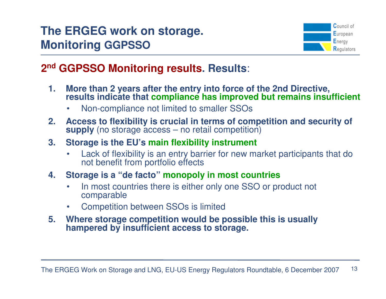![](_page_12_Figure_1.jpeg)

### **2nd GGPSSO Monitoring results. Results**:

- **1. More than 2 years after the entry into force of the 2nd Directive, results indicate that compliance has improved but remains insufficient**
	- •Non-compliance not limited to smaller SSOs
- **2. Access to flexibility is crucial in terms of competition and security of supply** (no storage access – no retail competition)

## **3. Storage is the EU's main flexibility instrument**

 $\bullet$  Lack of flexibility is an entry barrier for new market participants that do not benefit from portfolio effects

#### **4. Storage is a "de facto" monopoly in most countries**

- In most countries there is either only one SSO or product not •comparable
- Competition between SSOs is limited•

#### **5. Where storage competition would be possible this is usually hampered by insufficient access to storage.**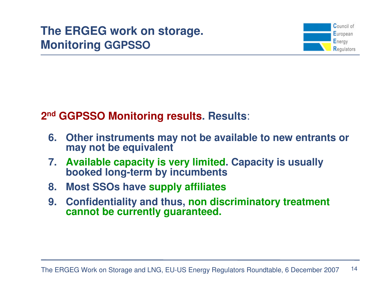![](_page_13_Figure_1.jpeg)

### **2nd GGPSSO Monitoring results. Results**:

- **6. Other instruments may not be available to new entrants or may not be equivalent**
- **7. Available capacity is very limited. Capacity is usually booked long-term by incumbents**
- **8. Most SSOs have supply affiliates**
- **9. Confidentiality and thus, non discriminatory treatment cannot be currently guaranteed.**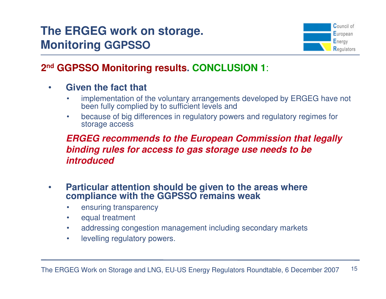![](_page_14_Picture_1.jpeg)

#### **2nd GGPSSO Monitoring results. CONCLUSION 1**:

#### $\bullet$ **Given the fact that**

- • implementation of the voluntary arrangements developed by ERGEG have not been fully complied by to sufficient levels and
- because of big differences in regulatory powers and regulatory regimes for •storage access

#### **ERGEG recommends to the European Commission that legally binding rules for access to gas storage use needs to be introduced**

- • **Particular attention should be given to the areas where compliance with the GGPSSO remains weak**
	- •ensuring transparency
	- $\bullet$ equal treatment
	- •addressing congestion management including secondary markets
	- •levelling regulatory powers.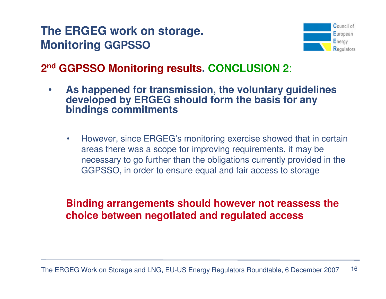![](_page_15_Picture_1.jpeg)

### **2nd GGPSSO Monitoring results. CONCLUSION 2**:

- • **As happened for transmission, the voluntary guidelines developed by ERGEG should form the basis for any bindings commitments**
	- $\bullet$  However, since ERGEG's monitoring exercise showed that in certain areas there was a scope for improving requirements, it may be necessary to go further than the obligations currently provided in the GGPSSO, in order to ensure equal and fair access to storage

#### **Binding arrangements should however not reassess the choice between negotiated and regulated access**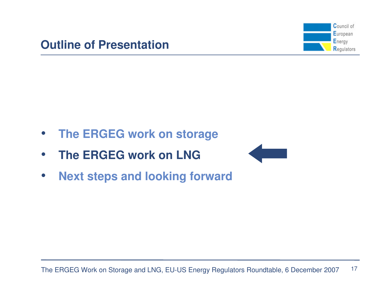![](_page_16_Figure_1.jpeg)

- $\bullet$ **The ERGEG work on storage**
- $\bullet$ **The ERGEG work on LNG**

![](_page_16_Figure_4.jpeg)

 $\bullet$ **Next steps and looking forward**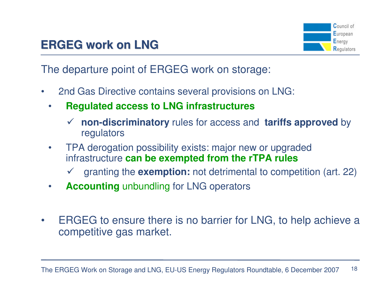![](_page_17_Picture_1.jpeg)

The departure point of ERGEG work on storage:

- $\bullet$  2nd Gas Directive contains several provisions on LNG:
	- • **Regulated access to LNG infrastructures**
		- **non-discriminatory** rules for access and **tariffs approved** by regulators
	- • TPA derogation possibility exists: major new or upgraded infrastructure **can be exempted from the rTPA rules**
		- granting the **exemption:** not detrimental to competition (art. 22)
	- •**Accounting** unbundling for LNG operators
- $\bullet$  ERGEG to ensure there is no barrier for LNG, to help achieve a competitive gas market.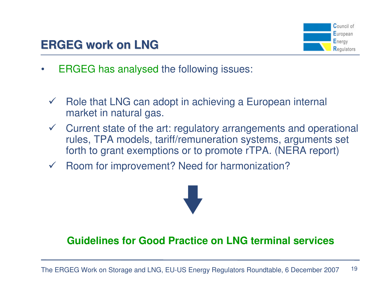![](_page_18_Picture_1.jpeg)

- • ERGEG has analysed the following issues:
	- $\checkmark$  Role that LNG can adopt in achieving a European internal market in natural gas.
	- $\checkmark$  Current state of the art: regulatory arrangements and operational rules, TPA models, tariff/remuneration systems, arguments set forth to grant exemptions or to promote rTPA. (NERA report)
	- $\sqrt{2}$ Room for improvement? Need for harmonization?

![](_page_18_Picture_6.jpeg)

#### **Guidelines for Good Practice on LNG terminal services**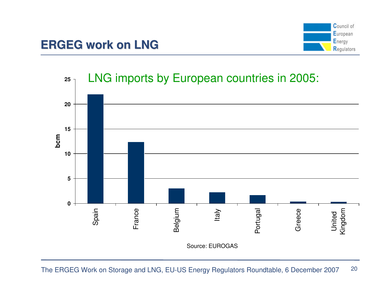![](_page_19_Figure_1.jpeg)

![](_page_19_Figure_2.jpeg)

The ERGEG Work on Storage and LNG, EU-US Energy Regulators Roundtable, 6 December 2007 20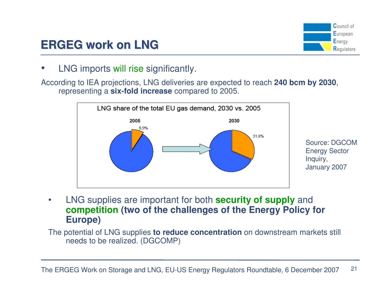![](_page_20_Picture_0.jpeg)

![](_page_20_Picture_1.jpeg)

•• LNG imports will rise significantly.

According to IEA projections, LNG deliveries are expected to reach **240 bcm by 2030**, representing a **six-fold increase** compared to 2005.

![](_page_20_Figure_4.jpeg)

• LNG supplies are important for both **security of supply** and **competition (two of the challenges of the Energy Policy for Europe)**

The potential of LNG supplies **to reduce concentration** on downstream markets still needs to be realized. (DGCOMP)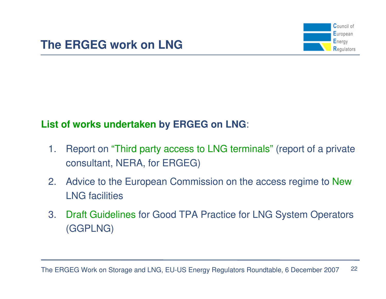![](_page_21_Figure_1.jpeg)

# **List of works undertaken by ERGEG on LNG**:

- 1. Report on "Third party access to LNG terminals" (report of a private consultant, NERA, for ERGEG)
- 2. Advice to the European Commission on the access regime to NewLNG facilities
- 3. Draft Guidelines for Good TPA Practice for LNG System Operators (GGPLNG)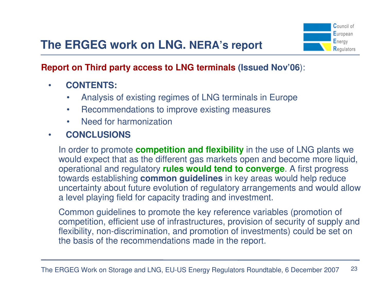# **The ERGEG work on LNG. NERA's report**

![](_page_22_Picture_1.jpeg)

## **Report on Third party access to LNG terminals (Issued Nov'06**):

- $\bullet$  **CONTENTS:**
	- •Analysis of existing regimes of LNG terminals in Europe
	- •Recommendations to improve existing measures
	- •Need for harmonization
- •**CONCLUSIONS**

In order to promote **competition and flexibility** in the use of LNG plants we would expect that as the different gas markets open and become more liquid, operational and regulatory **rules would tend to converge**. A first progress towards establishing **common guidelines** in key areas would help reduce uncertainty about future evolution of regulatory arrangements and would allow a level playing field for capacity trading and investment.

Common guidelines to promote the key reference variables (promotion of competition, efficient use of infrastructures, provision of security of supply and flexibility, non-discrimination, and promotion of investments) could be set on the basis of the recommendations made in the report.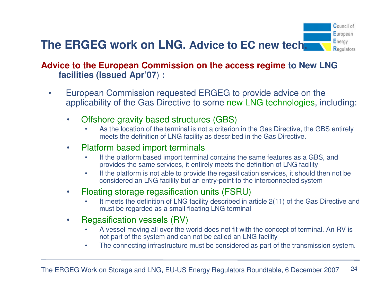#### **Advice to the European Commission on the access regime to New LNG facilities (Issued Apr'07**) **:**

- • European Commission requested ERGEG to provide advice on the applicability of the Gas Directive to some new LNG technologies, including:
	- • Offshore gravity based structures (GBS)
		- • As the location of the terminal is not a criterion in the Gas Directive, the GBS entirely meets the definition of LNG facility as described in the Gas Directive.
	- • Platform based import terminals
		- If the platform based import terminal contains the same features as a GBS, and •provides the same services, it entirely meets the definition of LNG facility
		- If the platform is not able to provide the regasification services, it should then not be •considered an LNG facility but an entry-point to the interconnected system
	- $\bullet$  Floating storage regasification units (FSRU)
		- • It meets the definition of LNG facility described in article 2(11) of the Gas Directive and must be regarded as a small floating LNG terminal
	- • Regasification vessels (RV)
		- • A vessel moving all over the world does not fit with the concept of terminal. An RV is not part of the system and can not be called an LNG facility
		- The connecting infrastructure must be considered as part of the transmission system. •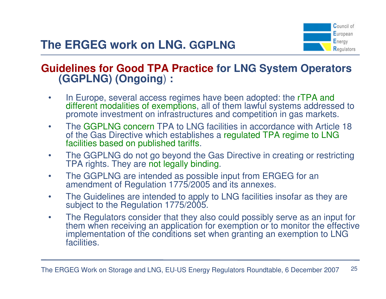![](_page_24_Picture_1.jpeg)

#### **Guidelines for Good TPA Practice for LNG System Operators (GGPLNG) (Ongoing**) **:**

- •In Europe, several access regimes have been adopted: the rTPA and different modalities of exemptions, all of them lawful systems addressed to promote investment on infrastructures and competition in gas markets.
- $\bullet$ The GGPLNG concern TPA to LNG facilities in accordance with Article 18 of the Gas Directive which establishes a regulated TPA regime to LNG facilities based on published tariffs.
- $\bullet$  The GGPLNG do not go beyond the Gas Directive in creating or restricting TPA rights. They are not legally binding.
- $\bullet$ The GGPLNG are intended as possible input from ERGEG for an amendment of Regulation 1775/2005 and its annexes.
- $\bullet$  The Guidelines are intended to apply to LNG facilities insofar as they are subject to the Regulation 1775/2005.
- $\bullet$  The Regulators consider that they also could possibly serve as an input for them when receiving an application for exemption or to monitor the effective implementation of the conditions set when granting an exemption to LNG facilities.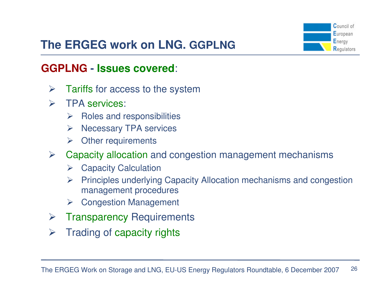![](_page_25_Picture_0.jpeg)

# **The ERGEG work on LNG. GGPLNG**

#### **GGPLNG-Issues covered**:

- $\blacktriangleright$ Tariffs for access to the system
- $\blacktriangleright$  TPA services:
	- > Roles and responsibilities
	- > Necessary TPA services
	- > Other requirements
- Capacity allocation and congestion management mechanisms
	- > Capacity Calculation
	- $\blacktriangleright$  Principles underlying Capacity Allocation mechanisms and congestion management procedures
	- Congestion Management
- $\blacktriangleright$ Transparency Requirements
- $\blacktriangleright$ Trading of capacity rights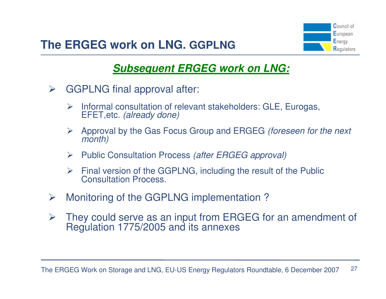![](_page_26_Picture_1.jpeg)

## **Subsequent ERGEG work on LNG:**

- $\blacktriangleright$  GGPLNG final approval after:
	- > Informal consultation of relevant stakeholders: GLE, Eurogas,<br>FEET etc. (already done) EFET,etc. (already done)
	- $\blacktriangleright$  Approval by the Gas Focus Group and ERGEG (foreseen for the next month)
	- > Public Consultation Process (after ERGEG approval)
	- Final version of the GGPLNG, including the result of the Public<br>Consultation Process Consultation Process.
- $\blacktriangleright$ Monitoring of the GGPLNG implementation ?
- $\blacktriangleright$  They could serve as an input from ERGEG for an amendment of Regulation 1775/2005 and its annexes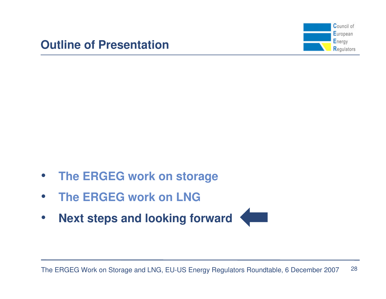![](_page_27_Figure_1.jpeg)

- $\bullet$ **The ERGEG work on storage**
- $\bullet$ **The ERGEG work on LNG**
- $\bullet$ **Next steps and looking forward**

![](_page_27_Picture_5.jpeg)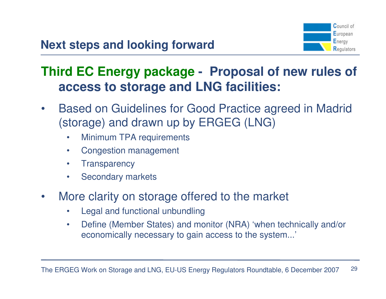![](_page_28_Picture_1.jpeg)

# **Third EC Energy package - Proposal of new rules of access to storage and LNG facilities:**

- $\bullet$  Based on Guidelines for Good Practice agreed in Madrid (storage) and drawn up by ERGEG (LNG)
	- $\bullet$ Minimum TPA requirements
	- •Congestion management
	- $\bullet$ **Transparency**
	- $\bullet$ Secondary markets
- • More clarity on storage offered to the market
	- •Legal and functional unbundling
	- $\bullet$  Define (Member States) and monitor (NRA) 'when technically and/or economically necessary to gain access to the system...'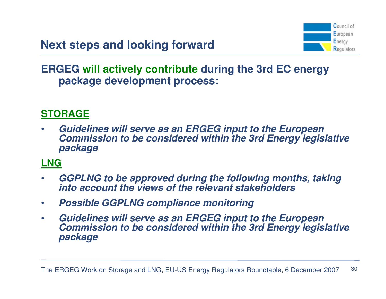![](_page_29_Picture_1.jpeg)

#### **ERGEG will actively contribute during the 3rd EC energy package development process:**

#### **STORAGE**

• **Guidelines will serve as an ERGEG input to the European Commission to be considered within the 3rd Energy legislative package**

#### **LNG**

- • **GGPLNG to be approved during the following months, taking into account the views of the relevant stakeholders**
- $\bullet$ **Possible GGPLNG compliance monitoring**
- $\bullet$  **Guidelines will serve as an ERGEG input to the European Commission to be considered within the 3rd Energy legislative package**